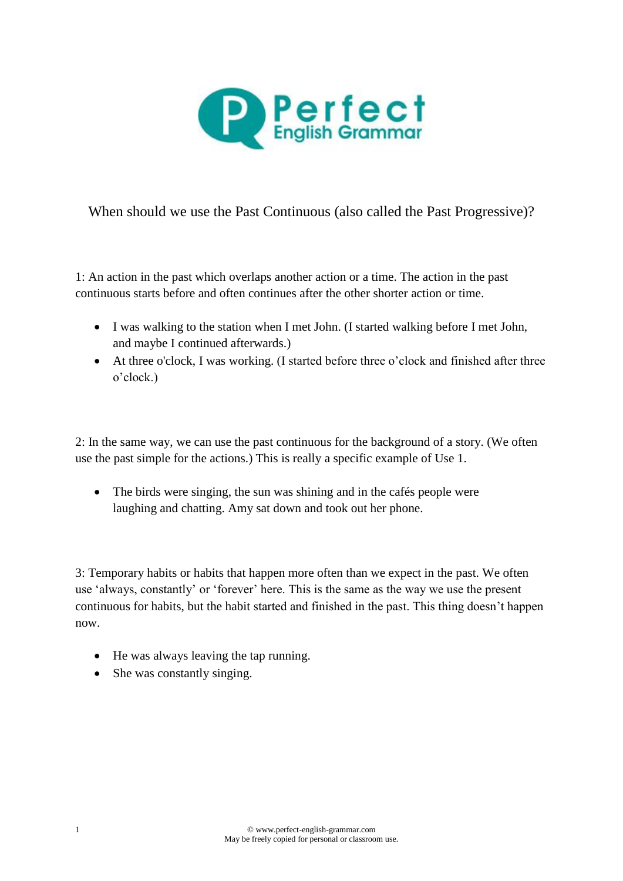

When should we use the Past Continuous (also called the Past Progressive)?

1: An action in the past which overlaps another action or a time. The action in the past continuous starts before and often continues after the other shorter action or time.

- I was walking to the station when I met John. (I started walking before I met John, and maybe I continued afterwards.)
- At three o'clock, I was working. (I started before three o'clock and finished after three o'clock.)

2: In the same way, we can use the past continuous for the background of a story. (We often use the past simple for the actions.) This is really a specific example of Use 1.

• The birds were singing, the sun was shining and in the cafés people were laughing and chatting. Amy sat down and took out her phone.

3: Temporary habits or habits that happen more often than we expect in the past. We often use 'always, constantly' or 'forever' here. This is the same as the way we use the present continuous for habits, but the habit started and finished in the past. This thing doesn't happen now.

- He was always leaving the tap running.
- She was constantly singing.